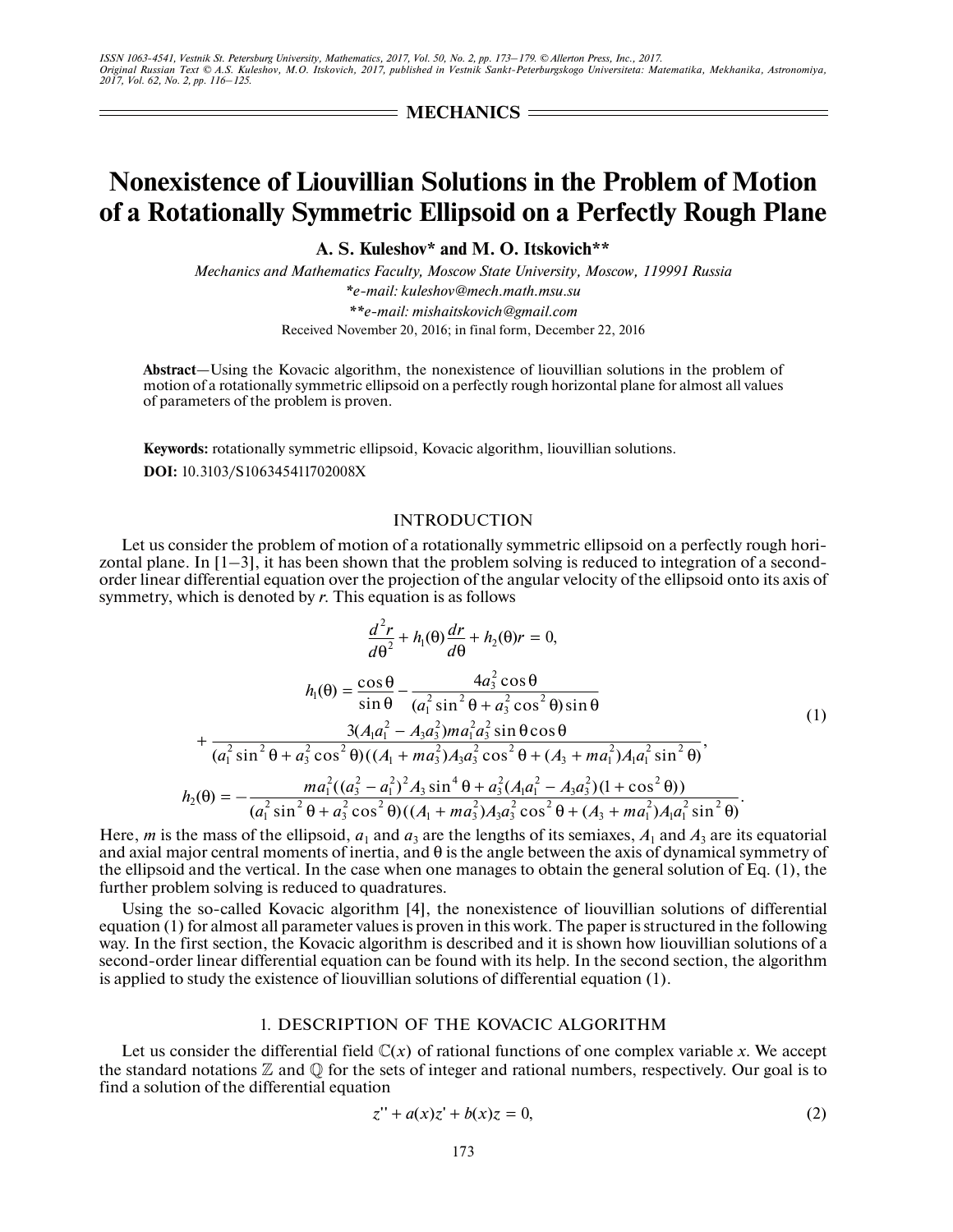= **MECHANICS** =

# **Nonexistence of Liouvillian Solutions in the Problem of Motion of a Rotationally Symmetric Ellipsoid on a Perfectly Rough Plane**

**A. S. Kuleshov\* and M. O. Itskovich\*\***

*Mechanics and Mathematics Faculty, Moscow State University, Moscow, 119991 Russia \*e-mail: kuleshov@mech.math.msu.su \*\*e-mail: mishaitskovich@gmail.com* Received November 20, 2016; in final form, December 22, 2016

**Abstract**—Using the Kovacic algorithm, the nonexistence of liouvillian solutions in the problem of motion of a rotationally symmetric ellipsoid on a perfectly rough horizontal plane for almost all values of parameters of the problem is proven.

**Keywords:** rotationally symmetric ellipsoid, Kovacic algorithm, liouvillian solutions.

**DOI:** 10.3103/S106345411702008X

### INTRODUCTION

Let us consider the problem of motion of a rotationally symmetric ellipsoid on a perfectly rough horizontal plane. In  $[1-3]$ , it has been shown that the problem solving is reduced to integration of a secondorder linear differential equation over the projection of the angular velocity of the ellipsoid onto its axis of symmetry, which is denoted by *r*. This equation is as follows

$$
\frac{d^2r}{d\theta^2} + h_1(\theta)\frac{dr}{d\theta} + h_2(\theta)r = 0,
$$
\n
$$
h_1(\theta) = \frac{\cos\theta}{\sin\theta} - \frac{4a_3^2\cos\theta}{(a_1^2\sin^2\theta + a_3^2\cos^2\theta)\sin\theta}
$$
\n
$$
+ \frac{3(A_1a_1^2 - A_3a_3^2)ma_1^2a_3^2\sin\theta\cos\theta}{(a_1^2\sin^2\theta + a_3^2\cos^2\theta)((A_1 + ma_3^2)A_3a_3^2\cos^2\theta + (A_3 + ma_1^2)A_1a_1^2\sin^2\theta)},
$$
\n
$$
h_2(\theta) = -\frac{ma_1^2((a_3^2 - a_1^2)^2A_3\sin^4\theta + a_3^2(A_1a_1^2 - A_3a_3^2)(1 + \cos^2\theta))}{(a_1^2\sin^2\theta + a_3^2\cos^2\theta)((A_1 + ma_3^2)A_3a_3^2\cos^2\theta + (A_3 + ma_1^2)A_1a_1^2\sin^2\theta)}.
$$
\n(1)

Here, *m* is the mass of the ellipsoid,  $a_1$  and  $a_3$  are the lengths of its semiaxes,  $A_1$  and  $A_3$  are its equatorial and axial major central moments of inertia, and θ is the angle between the axis of dynamical symmetry of the ellipsoid and the vertical. In the case when one manages to obtain the general solution of Eq. (1), the further problem solving is reduced to quadratures.

Using the so-called Kovacic algorithm [4], the nonexistence of liouvillian solutions of differential equation (1) for almost all parameter values is proven in this work. The paper is structured in the following way. In the first section, the Kovacic algorithm is described and it is shown how liouvillian solutions of a second-order linear differential equation can be found with its help. In the second section, the algorithm is applied to study the existence of liouvillian solutions of differential equation (1).

# 1. DESCRIPTION OF THE KOVACIC ALGORITHM

Let us consider the differential field  $\mathbb{C}(x)$  of rational functions of one complex variable x. We accept the standard notations  $\mathbb Z$  and  $\mathbb Q$  for the sets of integer and rational numbers, respectively. Our goal is to find a solution of the differential equation

$$
z'' + a(x)z' + b(x)z = 0,
$$
 (2)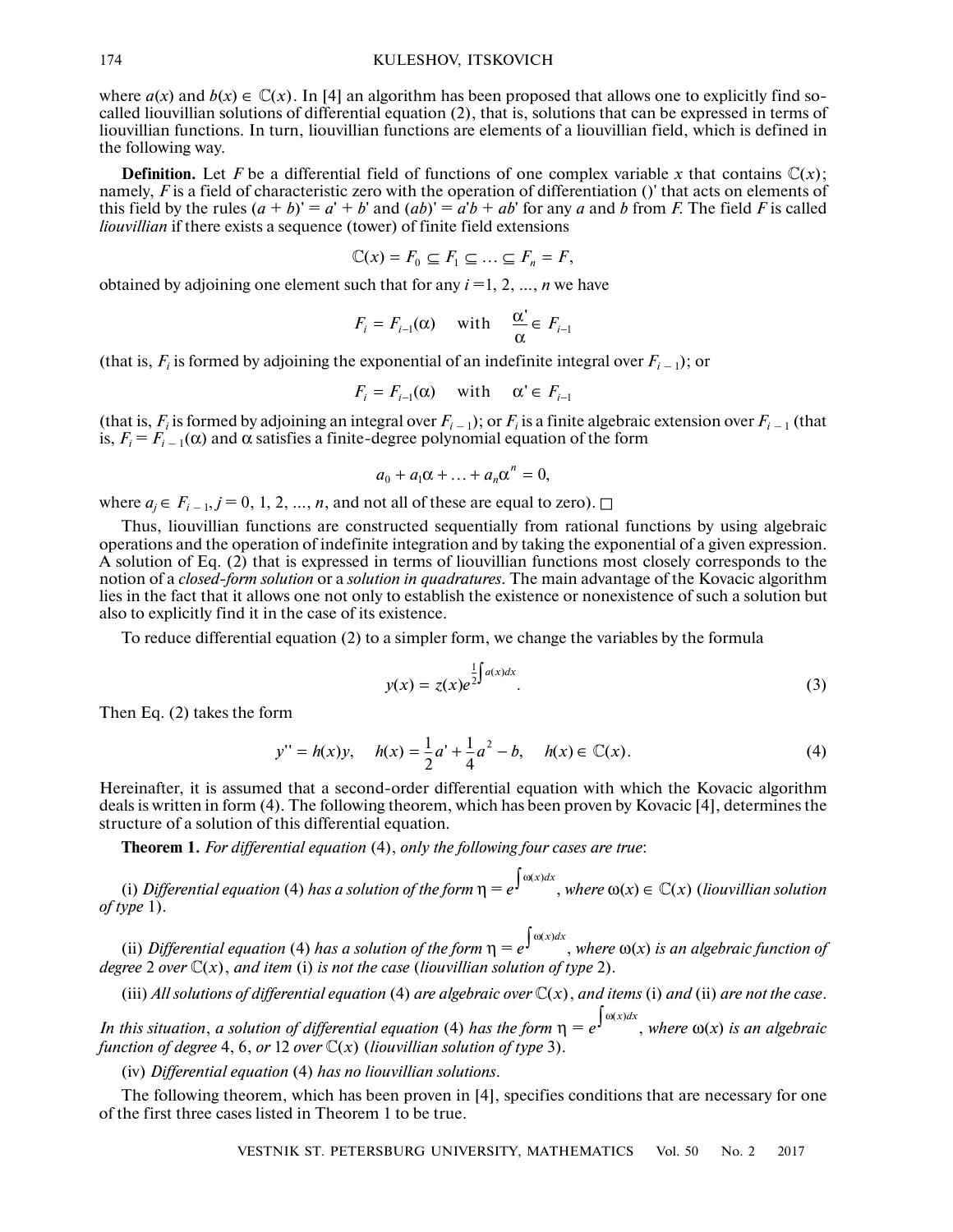#### KULESHOV, ITSKOVICH

where  $a(x)$  and  $b(x) \in \mathbb{C}(x)$ . In [4] an algorithm has been proposed that allows one to explicitly find socalled liouvillian solutions of differential equation (2), that is, solutions that can be expressed in terms of liouvillian functions. In turn, liouvillian functions are elements of a liouvillian field, which is defined in the following way.

**Definition.** Let *F* be a differential field of functions of one complex variable *x* that contains  $\mathbb{C}(x)$ ; namely, *F* is a field of characteristic zero with the operation of differentiation ()' that acts on elements of this field by the rules  $(a + b)' = a' + b'$  and  $(ab)' = a'b + ab'$  for any *a* and *b* from *F*. The field *F* is called *liouvillian* if there exists a sequence (tower) of finite field extensions

$$
\mathbb{C}(x) = F_0 \subseteq F_1 \subseteq \ldots \subseteq F_n = F,
$$

obtained by adjoining one element such that for any *i* =1, 2, …, *n* we have

$$
F_i = F_{i-1}(\alpha) \quad \text{with} \quad \frac{\alpha'}{\alpha} \in F_{i-1}
$$

(that is,  $F_i$  is formed by adjoining the exponential of an indefinite integral over  $F_{i-1}$ ); or

$$
F_i = F_{i-1}(\alpha) \quad \text{with} \quad \alpha \in F_{i-1}
$$

(that is,  $F_i$  is formed by adjoining an integral over  $F_{i-1}$ ); or  $F_i$  is a finite algebraic extension over  $F_{i-1}$  (that is,  $F_i = F_{i-1}(\alpha)$  and  $\alpha$  satisfies a finite-degree polynomial equation of the form

$$
a_0 + a_1 \alpha + \ldots + a_n \alpha^n = 0,
$$

where  $a_i \in F_{i-1}, j = 0, 1, 2, ..., n$ , and not all of these are equal to zero).  $\square$ 

Thus, liouvillian functions are constructed sequentially from rational functions by using algebraic operations and the operation of indefinite integration and by taking the exponential of a given expression. A solution of Eq. (2) that is expressed in terms of liouvillian functions most closely corresponds to the notion of a *closed-form solution* or a *solution in quadratures*. The main advantage of the Kovacic algorithm lies in the fact that it allows one not only to establish the existence or nonexistence of such a solution but also to explicitly find it in the case of its existence.

To reduce differential equation (2) to a simpler form, we change the variables by the formula

$$
y(x) = z(x)e^{\frac{1}{2}\int a(x)dx}.
$$
 (3)

Then Eq. (2) takes the form

$$
y'' = h(x)y, \quad h(x) = \frac{1}{2}a' + \frac{1}{4}a^2 - b, \quad h(x) \in \mathbb{C}(x).
$$
 (4)

Hereinafter, it is assumed that a second-order differential equation with which the Kovacic algorithm deals is written in form (4). The following theorem, which has been proven by Kovacic [4], determines the structure of a solution of this differential equation.

**Theorem 1.** *For differential equation* (4), *only the following four cases are true*:

(i) *Differential equation* (4) *has a solution of the form*  $\eta = e^{\int \omega(x)dx}$ , *where*  $\omega(x) \in \mathbb{C}(x)$  (*liouvillian solution of type* 1).

(ii) *Differential equation* (4) has a solution of the form  $\eta = e^{\int \omega(x)dx}$ , where  $\omega(x)$  is an algebraic function of  $\deg$ ree 2 *over*  $\mathbb{C}(x)$ , *and item* (i) *is not the case* (*liouvillian solution of type* 2).

(iii) All solutions of differential equation (4) are algebraic over  $\mathbb{C}(x)$ , and items (i) and (ii) are not the case.

*In this situation, a solution of differential equation* (4) *has the form*  $\eta = e^{\int \omega(x)dx}$ , where  $\omega(x)$  *is an algebraic* function of degree 4, 6, or 12 over  $\mathbb{C}(x)$  (liouvillian solution of type 3).

(iv) *Differential equation* (4) *has no liouvillian solutions*.

The following theorem, which has been proven in [4], specifies conditions that are necessary for one of the first three cases listed in Theorem 1 to be true.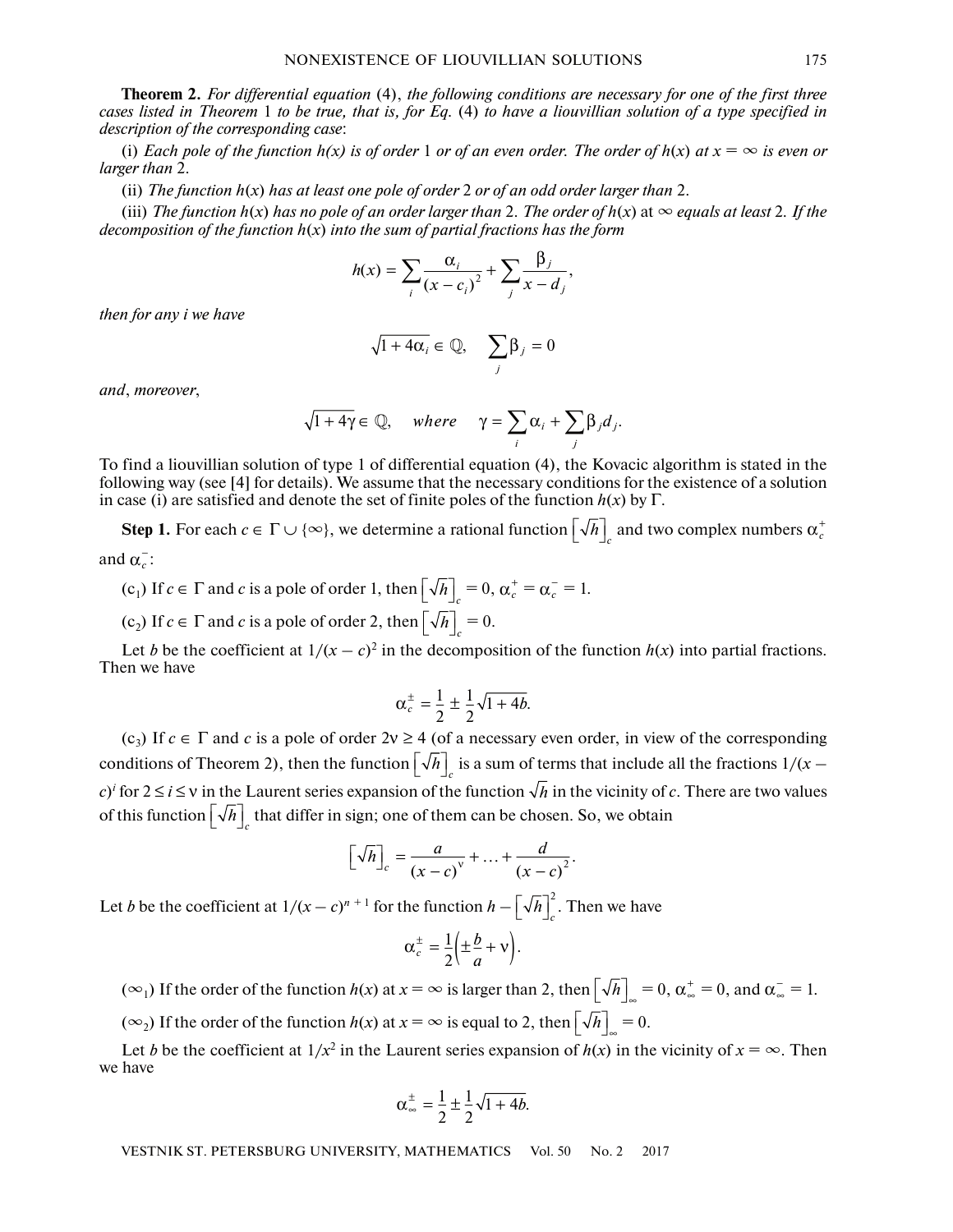**Theorem 2.** *For differential equation* (4), *the following conditions are necessary for one of the first three cases listed in Theorem* 1 *to be true, that is, for Eq.* (4) *to have a liouvillian solution of a type specified in description of the corresponding case*:

(i) *Each pole of the function h(x) is of order* 1 *or of an even order. The order of h(x) at*  $x = \infty$  *is even or larger than* 2.

(ii) *The function h*(*x*) *has at least one pole of order* 2 *or of an odd order larger than* 2.

(iii) *The function h*(*x*) *has no pole of an order larger than* 2. *The order of h*(*x*) at ∞ *equals at least* 2*. If the decomposition of the function*  $h(x)$  *into the sum of partial fractions has the form* 

$$
h(x) = \sum_{i} \frac{\alpha_i}{(x - c_i)^2} + \sum_{j} \frac{\beta_j}{x - d_j},
$$

*then for any i we have*

$$
\sqrt{1+4\alpha_i} \in \mathbb{Q}, \quad \sum_j \beta_j = 0
$$

*and*, *moreover*,

$$
\sqrt{1+4\gamma} \in \mathbb{Q}, \quad where \quad \gamma = \sum_i \alpha_i + \sum_j \beta_j d_j.
$$

To find a liouvillian solution of type 1 of differential equation (4), the Kovacic algorithm is stated in the following way (see [4] for details). We assume that the necessary conditions for the existence of a solution in case (i) are satisfied and denote the set of finite poles of the function  $h(x)$  by  $\Gamma$ .

**Step 1.** For each  $c \in \Gamma \cup \{\infty\}$ , we determine a rational function  $\left[\sqrt{h}\right]_c$  and two complex numbers  $\alpha_c^+$ and  $\alpha_c^-$ :

(c<sub>1</sub>) If 
$$
c \in \Gamma
$$
 and c is a pole of order 1, then  $\left[\sqrt{h}\right]_c = 0$ ,  $\alpha_c^+ = \alpha_c^- = 1$ .

 $(c_2)$  If  $c \in \Gamma$  and  $c$  is a pole of order 2, then  $\left[\sqrt{h}\right]_c = 0$ .

Let *b* be the coefficient at  $1/(x - c)^2$  in the decomposition of the function  $h(x)$  into partial fractions. Then we have

$$
\alpha_c^{\pm} = \frac{1}{2} \pm \frac{1}{2} \sqrt{1 + 4b}.
$$

(c<sub>3</sub>) If  $c \in \Gamma$  and c is a pole of order  $2v \ge 4$  (of a necessary even order, in view of the corresponding conditions of Theorem 2), then the function  $\left[\sqrt{h}\right]_c$  is a sum of terms that include all the fractions  $1/(x$  $c$ <sup>*i*</sup> for  $2 \le i \le v$  in the Laurent series expansion of the function  $\sqrt{h}$  in the vicinity of *c*. There are two values of this function  $\left[\sqrt{h}\right]_c$  that differ in sign; one of them can be chosen. So, we obtain

$$
\left[\sqrt{h}\right]_c = \frac{a}{(x-c)^v} + \ldots + \frac{d}{(x-c)^2}.
$$

Let *b* be the coefficient at  $1/(x-c)^{n+1}$  for the function  $h - \left[\sqrt{h}\right]_c^2$ . Then we have

$$
\alpha_c^{\pm} = \frac{1}{2} \left( \pm \frac{b}{a} + v \right).
$$

 $(\infty_1)$  If the order of the function  $h(x)$  at  $x = \infty$  is larger than 2, then  $\left[\sqrt{h}\right]_{\infty} = 0$ ,  $\alpha_{\infty}^+ = 0$ , and  $\alpha_{\infty}^- = 1$ .

 $(\infty_2)$  If the order of the function  $h(x)$  at  $x = \infty$  is equal to 2, then  $\left[\sqrt{h}\right]_{\infty} = 0$ .

Let *b* be the coefficient at  $1/x^2$  in the Laurent series expansion of  $h(x)$  in the vicinity of  $x = \infty$ . Then we have

$$
\alpha_{\infty}^{\pm} = \frac{1}{2} \pm \frac{1}{2} \sqrt{1 + 4b}.
$$

VESTNIK ST. PETERSBURG UNIVERSITY, MATHEMATICS Vol. 50 No. 2 2017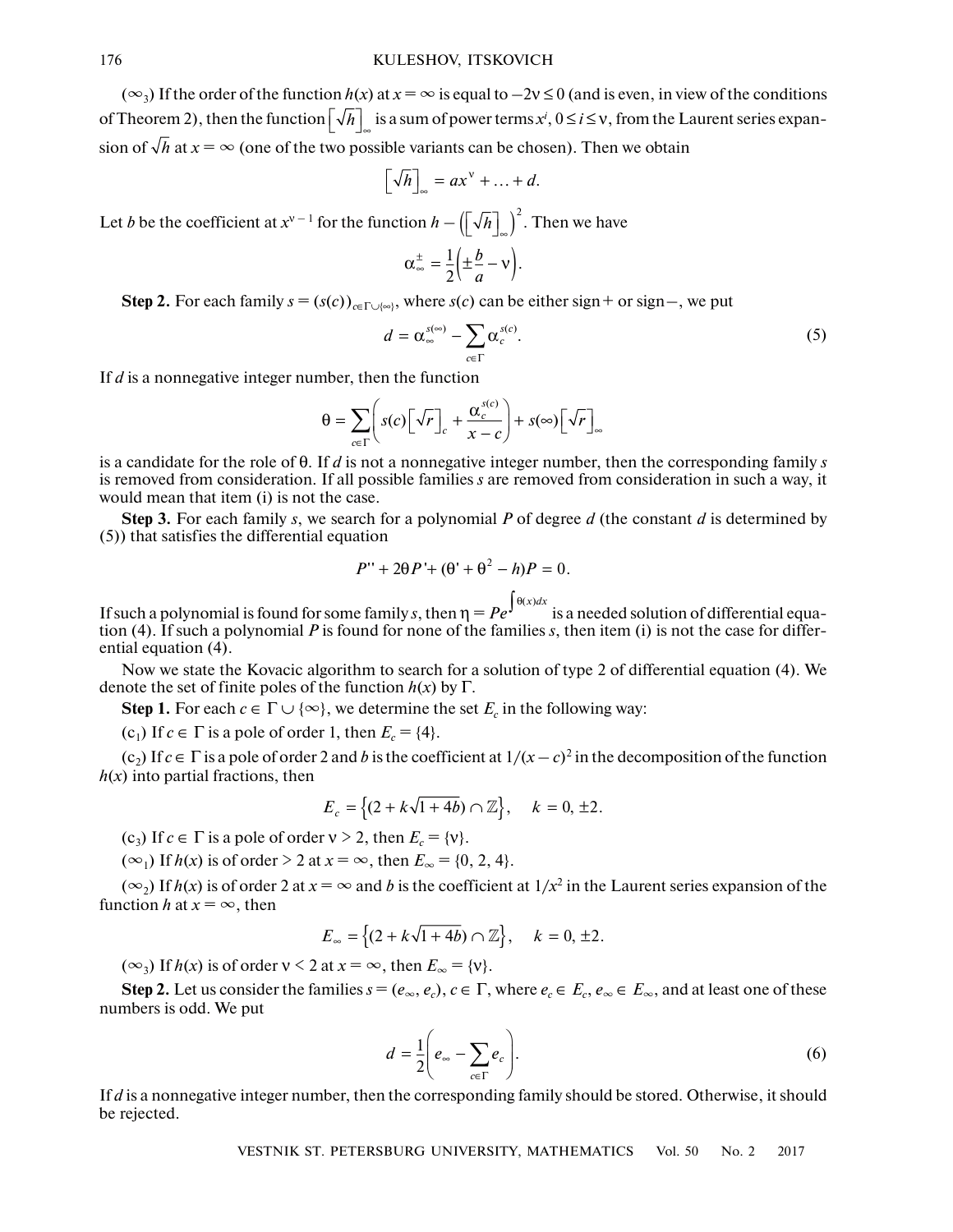$(\infty_3)$  If the order of the function  $h(x)$  at  $x = \infty$  is equal to  $-2y \le 0$  (and is even, in view of the conditions of Theorem 2), then the function  $\left[\sqrt{h}\right]_{\infty}$  is a sum of power terms  $x^i$ ,  $0 \le i \le v$ , from the Laurent series expansion of  $\sqrt{h}$  at  $x = \infty$  (one of the two possible variants can be chosen). Then we obtain

$$
\left[\sqrt{h}\right]_{\infty} = ax^{\vee} + \ldots + d.
$$

Let *b* be the coefficient at  $x^{v-1}$  for the function  $h - (\sqrt[n]{h}]_{\infty}^2$ . Then we have

$$
\alpha_{\infty}^{\pm} = \frac{1}{2} \left( \pm \frac{b}{a} - v \right).
$$

**Step 2.** For each family  $s = (s(c))_{c \in \Gamma \cup \{\infty\}}$ , where  $s(c)$  can be either sign+ or sign-, we put

$$
d = \alpha_{\infty}^{s(\infty)} - \sum_{c \in \Gamma} \alpha_c^{s(c)}.
$$
 (5)

If *d* is a nonnegative integer number, then the function

$$
\theta = \sum_{c \in \Gamma} \left( s(c) \left[ \sqrt{r} \right]_c + \frac{\alpha_c^{s(c)}}{x - c} \right) + s(\infty) \left[ \sqrt{r} \right]_{\infty}
$$

is a candidate for the role of θ. If *d* is not a nonnegative integer number, then the corresponding family *s* is removed from consideration. If all possible families *s* are removed from consideration in such a way, it would mean that item (i) is not the case.

**Step 3.** For each family *s*, we search for a polynomial *P* of degree *d* (the constant *d* is determined by (5)) that satisfies the differential equation

$$
P'' + 2\theta P' + (\theta' + \theta^2 - h)P = 0.
$$

If such a polynomial is found for some family *s*, then  $\eta = P e^{\int \theta(x) dx}$  is a needed solution of differential equation (4). If such a polynomial *P* is found for none of the families *s*, then item (i) is not the case for differential equation (4).

Now we state the Kovacic algorithm to search for a solution of type 2 of differential equation (4). We denote the set of finite poles of the function  $h(x)$  by  $\Gamma$ .

**Step 1.** For each  $c \in \Gamma \cup \{ \infty \}$ , we determine the set  $E_c$  in the following way:

(c<sub>1</sub>) If  $c \in \Gamma$  is a pole of order 1, then  $E_c = \{4\}$ .

 $(c_2)$  If  $c \in \Gamma$  is a pole of order 2 and *b* is the coefficient at  $1/(x - c)^2$  in the decomposition of the function  $h(x)$  into partial fractions, then

$$
E_c = \{(2 + k\sqrt{1 + 4b}) \cap \mathbb{Z}\}, \quad k = 0, \pm 2.
$$

(c<sub>3</sub>) If  $c \in \Gamma$  is a pole of order  $v > 2$ , then  $E_c = \{v\}$ .

(∞<sub>1</sub>) If  $h(x)$  is of order > 2 at  $x = ∞$ , then  $E_{\infty} = \{0, 2, 4\}$ .

 $(\infty_2)$  If  $h(x)$  is of order 2 at  $x = \infty$  and b is the coefficient at  $1/x^2$  in the Laurent series expansion of the function *h* at  $x = \infty$ , then

$$
E_{\infty} = \{(2 + k\sqrt{1 + 4b}) \cap \mathbb{Z}\}, \quad k = 0, \pm 2.
$$

 $(\infty_3)$  If  $h(x)$  is of order  $v < 2$  at  $x = \infty$ , then  $E_{\infty} = \{v\}.$ 

**Step 2.** Let us consider the families  $s = (e_\infty, e_c)$ ,  $c \in \Gamma$ , where  $e_c \in E_c$ ,  $e_\infty \in E_\infty$ , and at least one of these numbers is odd. We put

$$
d = \frac{1}{2} \left( e_{\infty} - \sum_{c \in \Gamma} e_c \right). \tag{6}
$$

If *d* is a nonnegative integer number, then the corresponding family should be stored. Otherwise, it should be rejected.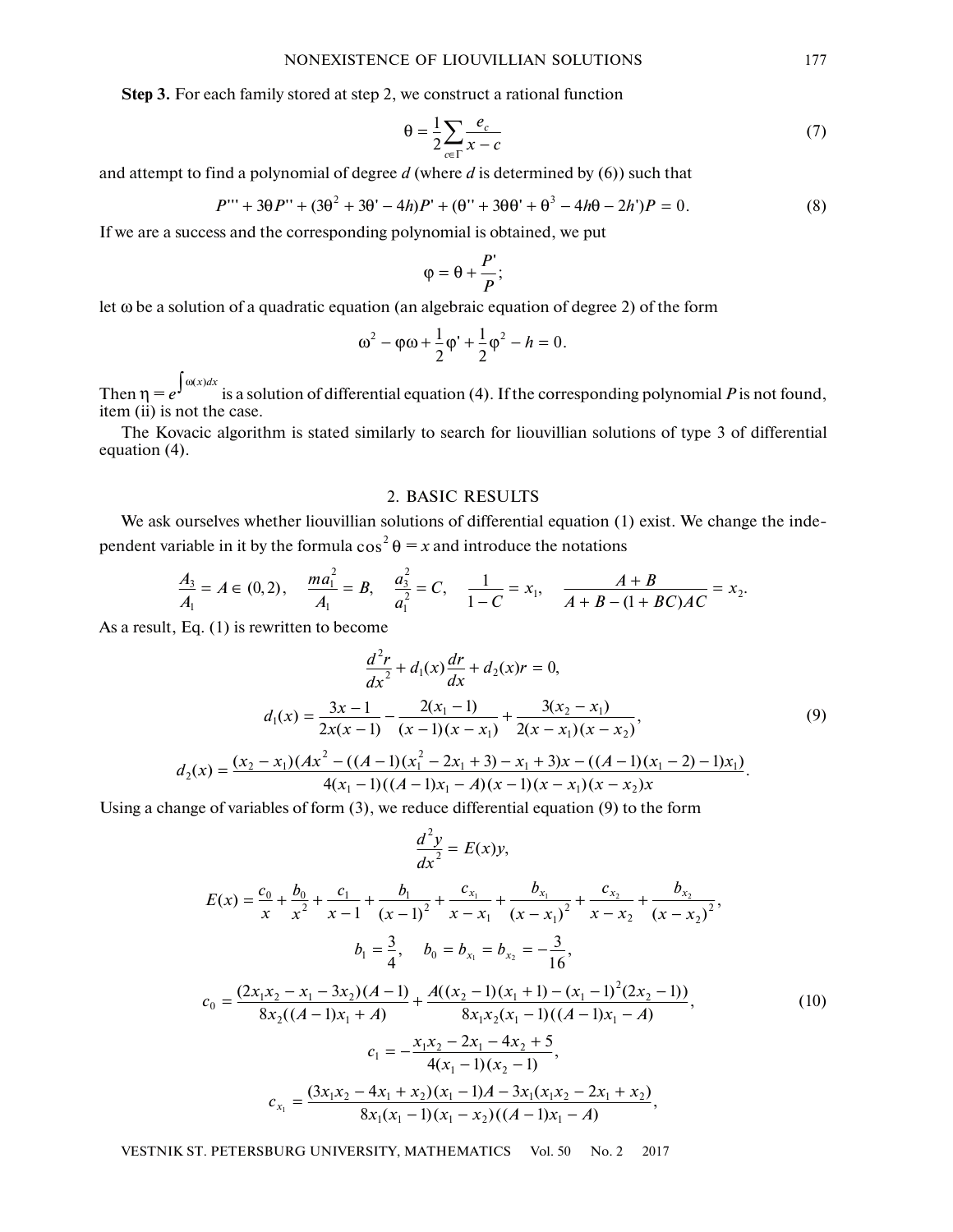**Step 3.** For each family stored at step 2, we construct a rational function

$$
\theta = \frac{1}{2} \sum_{c \in \Gamma} \frac{e_c}{x - c} \tag{7}
$$

and attempt to find a polynomial of degree *d* (where *d* is determined by (6)) such that

$$
P''' + 3\theta P'' + (3\theta^2 + 3\theta' - 4h)P' + (\theta'' + 3\theta\theta' + \theta^3 - 4h\theta - 2h')P = 0.
$$
 (8)

If we are a success and the corresponding polynomial is obtained, we put

$$
\varphi = \theta + \frac{P'}{P};
$$

let ω be a solution of a quadratic equation (an algebraic equation of degree 2) of the form

$$
\omega^2 - \varphi \omega + \frac{1}{2} \varphi' + \frac{1}{2} \varphi^2 - h = 0.
$$

Then  $η = e^{\int ω(x)dx}$  is a solution of differential equation (4). If the corresponding polynomial *P* is not found, item (ii) is not the case.

The Kovacic algorithm is stated similarly to search for liouvillian solutions of type 3 of differential equation (4).

## 2. BASIC RESULTS

We ask ourselves whether liouvillian solutions of differential equation (1) exist. We change the independent variable in it by the formula  $\cos^2 \theta = x$  and introduce the notations

$$
\frac{A_3}{A_1} = A \in (0,2), \quad \frac{ma_1^2}{A_1} = B, \quad \frac{a_3^2}{a_1^2} = C, \quad \frac{1}{1-C} = x_1, \quad \frac{A+B}{A+B-(1+BC)AC} = x_2.
$$

As a result, Eq. (1) is rewritten to become

$$
\frac{d^2r}{dx^2} + d_1(x)\frac{dr}{dx} + d_2(x)r = 0,
$$
\n
$$
d_1(x) = \frac{3x - 1}{2x(x - 1)} - \frac{2(x_1 - 1)}{(x - 1)(x - x_1)} + \frac{3(x_2 - x_1)}{2(x - x_1)(x - x_2)},
$$
\n
$$
d_2(x) = \frac{(x_2 - x_1)(Ax^2 - ((A - 1)(x_1^2 - 2x_1 + 3) - x_1 + 3)x - ((A - 1)(x_1 - 2) - 1)x_1)}{4(x_1 - 1)((A - 1)x_1 - A)(x - 1)(x - x_1)(x - x_2)x}.
$$
\n(9)

Using a change of variables of form  $(3)$ , we reduce differential equation  $(9)$  to the form

$$
\frac{d^2y}{dx^2} = E(x)y,
$$

$$
E(x) = \frac{c_0}{x} + \frac{b_0}{x^2} + \frac{c_1}{x-1} + \frac{b_1}{(x-1)^2} + \frac{c_{x_1}}{x-x_1} + \frac{b_{x_1}}{(x-x_1)^2} + \frac{c_{x_2}}{x-x_2} + \frac{b_{x_2}}{(x-x_2)^2},
$$
  
\n
$$
b_1 = \frac{3}{4}, \quad b_0 = b_{x_1} = b_{x_2} = -\frac{3}{16},
$$
  
\n
$$
c_0 = \frac{(2x_1x_2 - x_1 - 3x_2)(A-1)}{8x_2((A-1)x_1 + A)} + \frac{A((x_2 - 1)(x_1 + 1) - (x_1 - 1)^2(2x_2 - 1))}{8x_1x_2(x_1 - 1)((A-1)x_1 - A)},
$$
  
\n
$$
c_1 = -\frac{x_1x_2 - 2x_1 - 4x_2 + 5}{4(x_1 - 1)(x_2 - 1)},
$$
  
\n
$$
c_{x_1} = \frac{(3x_1x_2 - 4x_1 + x_2)(x_1 - 1)A - 3x_1(x_1x_2 - 2x_1 + x_2)}{8x_1(x_1 - 1)(x_1 - x_2)((A-1)x_1 - A)},
$$
\n(10)

VESTNIK ST. PETERSBURG UNIVERSITY, MATHEMATICS Vol. 50 No. 2 2017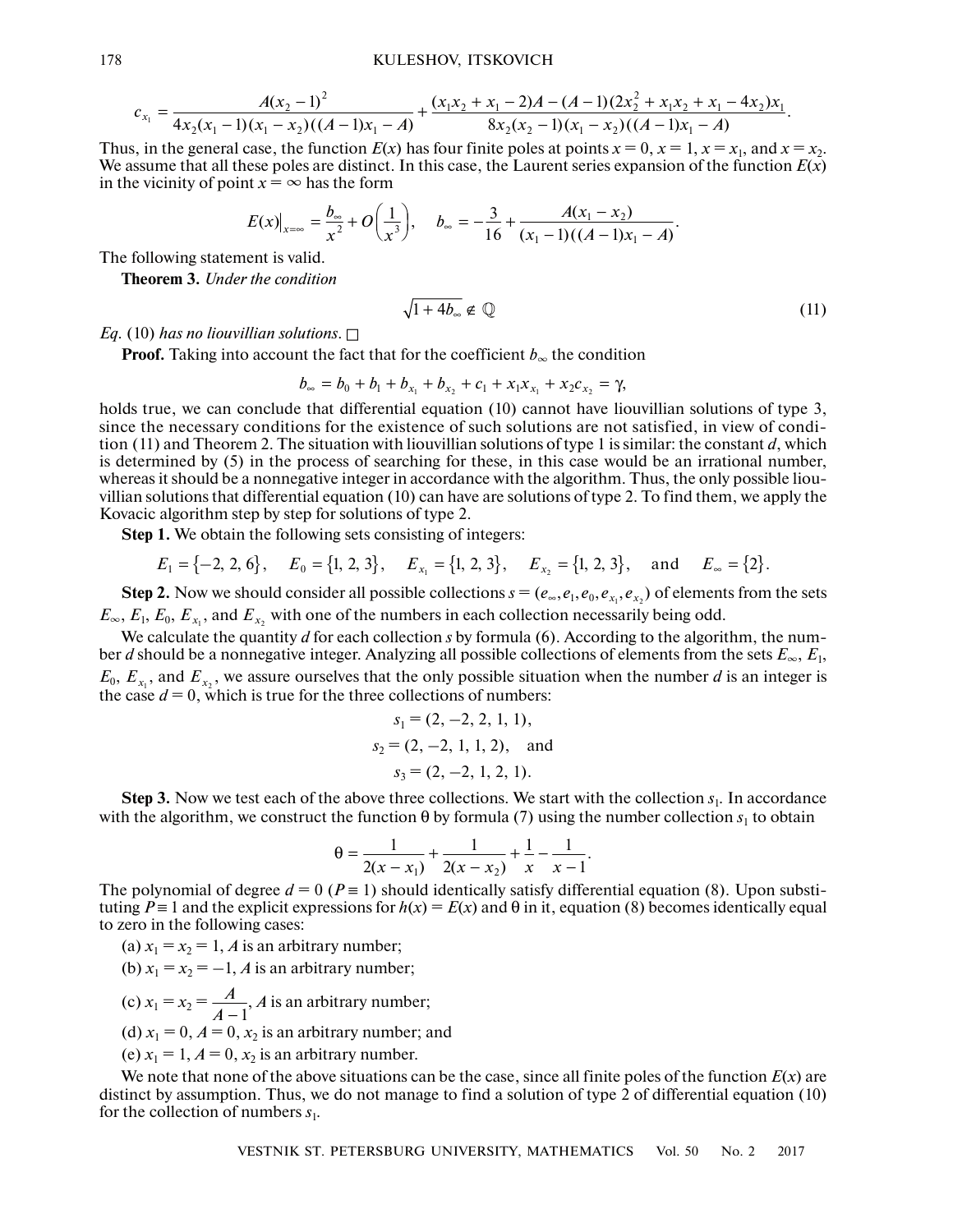$$
c_{x_1} = \frac{A(x_2-1)^2}{4x_2(x_1-1)(x_1-x_2)((A-1)x_1-A)} + \frac{(x_1x_2+x_1-2)A-(A-1)(2x_2^2+x_1x_2+x_1-4x_2)x_1}{8x_2(x_2-1)(x_1-x_2)((A-1)x_1-A)}.
$$

Thus, in the general case, the function  $E(x)$  has four finite poles at points  $x = 0$ ,  $x = 1$ ,  $x = x_1$ , and  $x = x_2$ . We assume that all these poles are distinct. In this case, the Laurent series expansion of the function  $E(x)$ in the vicinity of point  $x = \infty$  has the form

$$
E(x)|_{x=\infty} = \frac{b_{\infty}}{x^2} + O\left(\frac{1}{x^3}\right), \quad b_{\infty} = -\frac{3}{16} + \frac{A(x_1 - x_2)}{(x_1 - 1)((A - 1)x_1 - A)}.
$$

The following statement is valid.

**Theorem 3.** *Under the condition*

$$
\sqrt{1+4b_{\infty}} \notin \mathbb{Q} \tag{11}
$$

*Eq.* (10) has no liouvillian solutions.  $\square$ 

**Proof.** Taking into account the fact that for the coefficient  $b_{\infty}$  the condition

 $b_{\infty} = b_0 + b_1 + b_{x_1} + b_{x_2} + c_1 + x_1x_{x_1} + x_2c_{x_2} = \gamma$ 

holds true, we can conclude that differential equation (10) cannot have liouvillian solutions of type 3, since the necessary conditions for the existence of such solutions are not satisfied, in view of condition (11) and Theorem 2. The situation with liouvillian solutions of type 1 is similar: the constant *d*, which is determined by (5) in the process of searching for these, in this case would be an irrational number, whereas it should be a nonnegative integer in accordance with the algorithm. Thus, the only possible liouvillian solutions that differential equation (10) can have are solutions of type 2. To find them, we apply the Kovacic algorithm step by step for solutions of type 2.

**Step 1.** We obtain the following sets consisting of integers:

 $E_1 = \{-2, 2, 6\},$   $E_0 = \{1, 2, 3\},$   $E_{x_1} = \{1, 2, 3\},$   $E_{x_2} = \{1, 2, 3\},$  and  $E_{\infty} = \{2\}.$ 

**Step 2.** Now we should consider all possible collections  $s = (e_\infty, e_1, e_0, e_{x_1}, e_{x_2})$  of elements from the sets  $E_{\infty}$ ,  $E_1$ ,  $E_0$ ,  $E_{x_1}$ , and  $E_{x_2}$  with one of the numbers in each collection necessarily being odd.

We calculate the quantity *d* for each collection *s* by formula (6). According to the algorithm, the number *d* should be a nonnegative integer. Analyzing all possible collections of elements from the sets *E*∞, *E*1,  $E_0$ ,  $E_{x_1}$ , and  $E_{x_2}$ , we assure ourselves that the only possible situation when the number *d* is an integer is the case  $d = 0$ , which is true for the three collections of numbers:

$$
s_1 = (2, -2, 2, 1, 1),
$$
  
\n $s_2 = (2, -2, 1, 1, 2),$  and  
\n $s_3 = (2, -2, 1, 2, 1).$ 

**Step 3.** Now we test each of the above three collections. We start with the collection  $s_1$ . In accordance with the algorithm, we construct the function  $\theta$  by formula (7) using the number collection  $s_1$  to obtain

$$
\theta = \frac{1}{2(x - x_1)} + \frac{1}{2(x - x_2)} + \frac{1}{x} - \frac{1}{x - 1}.
$$

The polynomial of degree  $d = 0$  ( $P = 1$ ) should identically satisfy differential equation (8). Upon substituting  $P \equiv 1$  and the explicit expressions for  $h(x) = E(x)$  and  $\theta$  in it, equation (8) becomes identically equal to zero in the following cases:

(a)  $x_1 = x_2 = 1$ , *A* is an arbitrary number;

(b)  $x_1 = x_2 = -1$ , *A* is an arbitrary number;

- (c)  $x_1 = x_2 = \frac{A}{A-1}$ , *A* is an arbitrary number; *A A*
- (d)  $x_1 = 0$ ,  $A = 0$ ,  $x_2$  is an arbitrary number; and

(e)  $x_1 = 1$ ,  $A = 0$ ,  $x_2$  is an arbitrary number.

We note that none of the above situations can be the case, since all finite poles of the function *E*(*x*) are distinct by assumption. Thus, we do not manage to find a solution of type 2 of differential equation (10) for the collection of numbers  $s_1$ .